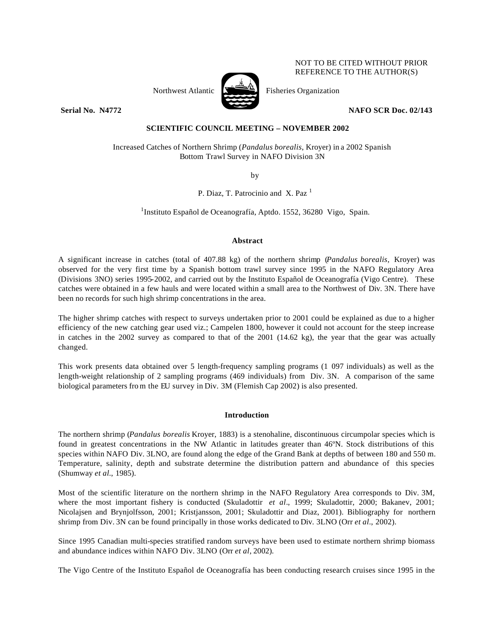# Northwest Atlantic  $\sum_{n=1}^{\infty}$  Fisheries Organization

NOT TO BE CITED WITHOUT PRIOR REFERENCE TO THE AUTHOR(S)

## **Serial No. 14772 NAFO SCR Doc. 02/143**

# **SCIENTIFIC COUNCIL MEETING – NOVEMBER 2002**

Increased Catches of Northern Shrimp (*Pandalus borealis*, Kroyer) in a 2002 Spanish Bottom Trawl Survey in NAFO Division 3N

by

P. Diaz, T. Patrocinio and X. Paz<sup>1</sup>

<sup>1</sup>Instituto Español de Oceanografía, Aptdo. 1552, 36280 Vigo, Spain.

# **Abstract**

A significant increase in catches (total of 407.88 kg) of the northern shrimp (*Pandalus borealis,* Kroyer) was observed for the very first time by a Spanish bottom trawl survey since 1995 in the NAFO Regulatory Area (Divisions 3NO) series 1995-2002, and carried out by the Instituto Español de Oceanografía (Vigo Centre). These catches were obtained in a few hauls and were located within a small area to the Northwest of Div. 3N. There have been no records for such high shrimp concentrations in the area.

The higher shrimp catches with respect to surveys undertaken prior to 2001 could be explained as due to a higher efficiency of the new catching gear used viz.; Campelen 1800, however it could not account for the steep increase in catches in the 2002 survey as compared to that of the 2001 (14.62 kg), the year that the gear was actually changed.

This work presents data obtained over 5 length-frequency sampling programs (1 097 individuals) as well as the length-weight relationship of 2 sampling programs (469 individuals) from Div. 3N. A comparison of the same biological parameters fro m the EU survey in Div. 3M (Flemish Cap 2002) is also presented.

# **Introduction**

The northern shrimp (*Pandalus borealis* Kroyer, 1883) is a stenohaline, discontinuous circumpolar species which is found in greatest concentrations in the NW Atlantic in latitudes greater than 46ºN. Stock distributions of this species within NAFO Div. 3LNO, are found along the edge of the Grand Bank at depths of between 180 and 550 m. Temperature, salinity, depth and substrate determine the distribution pattern and abundance of this species (Shumway *et al.*, 1985).

Most of the scientific literature on the northern shrimp in the NAFO Regulatory Area corresponds to Div. 3M, where the most important fishery is conducted (Skuladottir *et al.*, 1999; Skuladottir, 2000; Bakanev, 2001; Nicolajsen and Brynjolfsson, 2001; Kristjansson, 2001; Skuladottir and Diaz, 2001). Bibliography for northern shrimp from Div. 3N can be found principally in those works dedicated to Div. 3LNO (Orr *et al.*, 2002).

Since 1995 Canadian multi-species stratified random surveys have been used to estimate northern shrimp biomass and abundance indices within NAFO Div. 3LNO (Orr *et al*, 2002).

The Vigo Centre of the Instituto Español de Oceanografía has been conducting research cruises since 1995 in the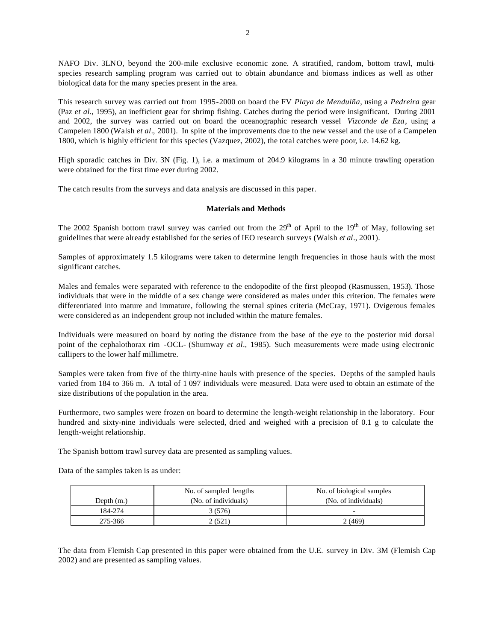NAFO Div. 3LNO, beyond the 200-mile exclusive economic zone. A stratified, random, bottom trawl, multispecies research sampling program was carried out to obtain abundance and biomass indices as well as other biological data for the many species present in the area.

This research survey was carried out from 1995-2000 on board the FV *Playa de Menduiña*, using a *Pedreira* gear (Paz *et al.*, 1995), an inefficient gear for shrimp fishing. Catches during the period were insignificant. During 2001 and 2002, the survey was carried out on board the oceanographic research vessel *Vizconde de Eza*, using a Campelen 1800 (Walsh *et al*., 2001). In spite of the improvements due to the new vessel and the use of a Campelen 1800, which is highly efficient for this species (Vazquez, 2002), the total catches were poor, i.e. 14.62 kg.

High sporadic catches in Div. 3N (Fig. 1), i.e. a maximum of 204.9 kilograms in a 30 minute trawling operation were obtained for the first time ever during 2002.

The catch results from the surveys and data analysis are discussed in this paper.

### **Materials and Methods**

The 2002 Spanish bottom trawl survey was carried out from the  $29<sup>th</sup>$  of April to the  $19<sup>th</sup>$  of May, following set guidelines that were already established for the series of IEO research surveys (Walsh *et al.*, 2001).

Samples of approximately 1.5 kilograms were taken to determine length frequencies in those hauls with the most significant catches.

Males and females were separated with reference to the endopodite of the first pleopod (Rasmussen, 1953). Those individuals that were in the middle of a sex change were considered as males under this criterion. The females were differentiated into mature and immature, following the sternal spines criteria (McCray, 1971). Ovigerous females were considered as an independent group not included within the mature females.

Individuals were measured on board by noting the distance from the base of the eye to the posterior mid dorsal point of the cephalothorax rim -OCL- (Shumway *et al*., 1985). Such measurements were made using electronic callipers to the lower half millimetre.

Samples were taken from five of the thirty-nine hauls with presence of the species. Depths of the sampled hauls varied from 184 to 366 m. A total of 1 097 individuals were measured. Data were used to obtain an estimate of the size distributions of the population in the area.

Furthermore, two samples were frozen on board to determine the length-weight relationship in the laboratory. Four hundred and sixty-nine individuals were selected, dried and weighed with a precision of 0.1 g to calculate the length-weight relationship.

The Spanish bottom trawl survey data are presented as sampling values.

Data of the samples taken is as under:

|              | No. of sampled lengths | No. of biological samples |
|--------------|------------------------|---------------------------|
| Depth $(m.)$ | (No. of individuals)   | (No. of individuals)      |
| 184-274      | 3 (576)                |                           |
| 275-366      | (521)                  | 2 (469)                   |

The data from Flemish Cap presented in this paper were obtained from the U.E. survey in Div. 3M (Flemish Cap 2002) and are presented as sampling values.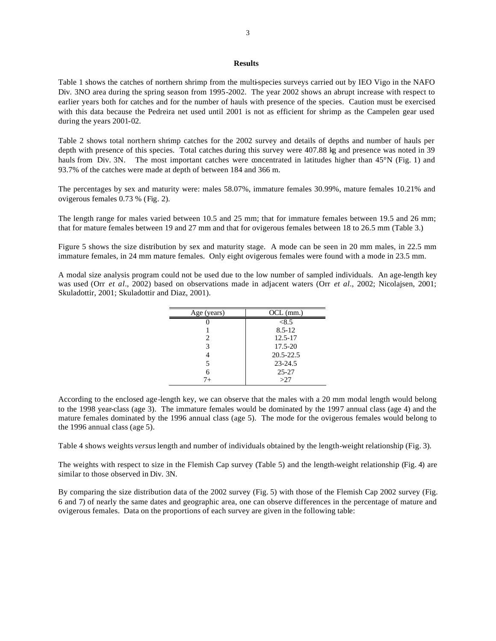### **Results**

Table 1 shows the catches of northern shrimp from the multi-species surveys carried out by IEO Vigo in the NAFO Div. 3NO area during the spring season from 1995-2002. The year 2002 shows an abrupt increase with respect to earlier years both for catches and for the number of hauls with presence of the species. Caution must be exercised with this data because the Pedreira net used until 2001 is not as efficient for shrimp as the Campelen gear used during the years 2001-02.

Table 2 shows total northern shrimp catches for the 2002 survey and details of depths and number of hauls per depth with presence of this species. Total catches during this survey were 407.88 kg and presence was noted in 39 hauls from Div. 3N. The most important catches were concentrated in latitudes higher than 45°N (Fig. 1) and 93.7% of the catches were made at depth of between 184 and 366 m.

The percentages by sex and maturity were: males 58.07%, immature females 30.99%, mature females 10.21% and ovigerous females 0.73 % (Fig. 2).

The length range for males varied between 10.5 and 25 mm; that for immature females between 19.5 and 26 mm; that for mature females between 19 and 27 mm and that for ovigerous females between 18 to 26.5 mm (Table 3.)

Figure 5 shows the size distribution by sex and maturity stage. A mode can be seen in 20 mm males, in 22.5 mm immature females, in 24 mm mature females. Only eight ovigerous females were found with a mode in 23.5 mm.

A modal size analysis program could not be used due to the low number of sampled individuals. An age-length key was used (Orr *et al.*, 2002) based on observations made in adjacent waters (Orr *et al*., 2002; Nicolajsen, 2001; Skuladottir, 2001; Skuladottir and Diaz, 2001).

| Age (years) | $OCL$ (mm.)   |
|-------------|---------------|
|             | < 8.5         |
|             | $8.5 - 12$    |
| 2           | $12.5 - 17$   |
| 3           | 17.5-20       |
|             | $20.5 - 22.5$ |
| 5           | $23 - 24.5$   |
| 6           | $25 - 27$     |
| $7 +$       | >27           |

According to the enclosed age-length key, we can observe that the males with a 20 mm modal length would belong to the 1998 year-class (age 3). The immature females would be dominated by the 1997 annual class (age 4) and the mature females dominated by the 1996 annual class (age 5). The mode for the ovigerous females would belong to the 1996 annual class (age 5).

Table 4 shows weights *versus* length and number of individuals obtained by the length-weight relationship (Fig. 3).

The weights with respect to size in the Flemish Cap survey (Table 5) and the length-weight relationship (Fig. 4) are similar to those observed in Div. 3N.

By comparing the size distribution data of the 2002 survey (Fig. 5) with those of the Flemish Cap 2002 survey (Fig. 6 and 7) of nearly the same dates and geographic area, one can observe differences in the percentage of mature and ovigerous females. Data on the proportions of each survey are given in the following table: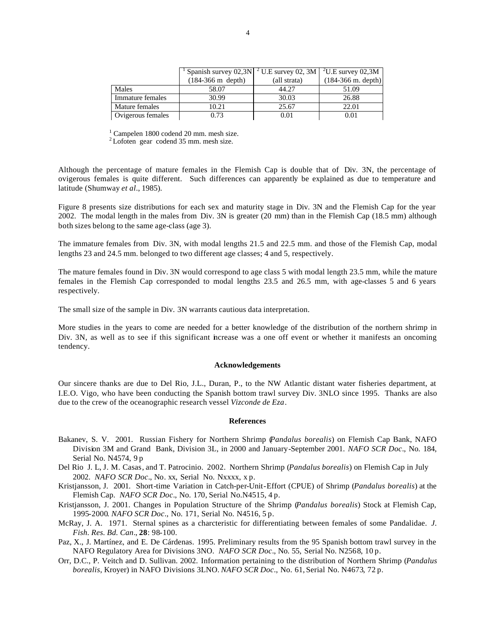|                   | <sup>1</sup> Spanish survey 02,3N $\mid$ <sup>2</sup> U.E survey 02, 3M $\mid$ <sup>2</sup> U.E survey 02,3M |              |                              |
|-------------------|--------------------------------------------------------------------------------------------------------------|--------------|------------------------------|
|                   | $(184-366 \text{ m depth})$                                                                                  | (all strata) | $(184-366 \text{ m. depth})$ |
| Males             | 58.07                                                                                                        | 44.27        | 51.09                        |
| Immature females  | 30.99                                                                                                        | 30.03        | 26.88                        |
| Mature females    | 10.21                                                                                                        | 25.67        | 22.01                        |
| Ovigerous females | 0.73                                                                                                         | 0.01         | 0.01                         |

<sup>1</sup> Campelen 1800 codend 20 mm. mesh size.

 $2$ Lofoten gear codend 35 mm. mesh size.

Although the percentage of mature females in the Flemish Cap is double that of Div. 3N, the percentage of ovigerous females is quite different. Such differences can apparently be explained as due to temperature and latitude (Shumway *et al*., 1985).

Figure 8 presents size distributions for each sex and maturity stage in Div. 3N and the Flemish Cap for the year 2002. The modal length in the males from Div. 3N is greater (20 mm) than in the Flemish Cap (18.5 mm) although both sizes belong to the same age-class (age 3).

The immature females from Div. 3N, with modal lengths 21.5 and 22.5 mm. and those of the Flemish Cap, modal lengths 23 and 24.5 mm. belonged to two different age classes; 4 and 5, respectively.

The mature females found in Div. 3N would correspond to age class 5 with modal length 23.5 mm, while the mature females in the Flemish Cap corresponded to modal lengths 23.5 and 26.5 mm, with age-classes 5 and 6 years respectively.

The small size of the sample in Div. 3N warrants cautious data interpretation.

More studies in the years to come are needed for a better knowledge of the distribution of the northern shrimp in Div. 3N, as well as to see if this significant increase was a one off event or whether it manifests an oncoming tendency.

### **Acknowledgements**

Our sincere thanks are due to Del Rio, J.L., Duran, P., to the NW Atlantic distant water fisheries department, at I.E.O. Vigo, who have been conducting the Spanish bottom trawl survey Div. 3NLO since 1995. Thanks are also due to the crew of the oceanographic research vessel *Vizconde de Eza*.

### **References**

- Bakanev, S. V. 2001. Russian Fishery for Northern Shrimp (*Pandalus borealis*) on Flemish Cap Bank, NAFO Division 3M and Grand Bank, Division 3L, in 2000 and January-September 2001. *NAFO SCR Doc*., No. 184, Serial No. N4574, 9 p
- Del Rio J. L, J. M. Casas, and T. Patrocinio. 2002. Northern Shrimp (*Pandalus borealis*) on Flemish Cap in July 2002. *NAFO SCR Doc*., No. xx, Serial No. Nxxxx, x p.
- Kristjansson, J. 2001. Short-time Variation in Catch-per-Unit-Effort (CPUE) of Shrimp (*Pandalus borealis*) at the Flemish Cap. *NAFO SCR Doc*., No. 170, Serial No.N4515, 4 p.
- Kristjansson, J. 2001. Changes in Population Structure of the Shrimp (*Pandalus borealis*) Stock at Flemish Cap, 1995-2000*. NAFO SCR Doc*., No. 171, Serial No. N4516, 5 p.
- McRay, J. A. 1971. Sternal spines as a charcteristic for differentiating between females of some Pandalidae. *J. Fish. Res. Bd. Can*., **28**: 98-100.
- Paz, X., J. Martínez, and E. De Cárdenas. 1995. Preliminary results from the 95 Spanish bottom trawl survey in the NAFO Regulatory Area for Divisions 3NO. *NAFO SCR Doc*., No. 55, Serial No. N2568, 10 p.
- Orr, D.C., P. Veitch and D. Sullivan. 2002. Information pertaining to the distribution of Northern Shrimp (*Pandalus borealis*, Kroyer) in NAFO Divisions 3LNO. *NAFO SCR Doc*., No. 61, Serial No. N4673, 72 p.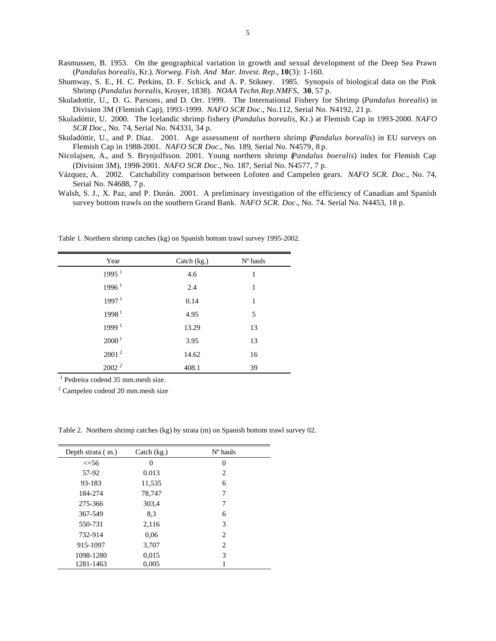Rasmussen, B. 1953. On the geographical variation in growth and sexual development of the Deep Sea Prawn (*Pandalus borealis*, Kr.). *Norweg. Fish. And Mar. Invest. Rep*., **10**(3): 1-160.

Shumway, S. E., H. C. Perkins, D. F. Schick, and A. P. Stikney. 1985. Synopsis of biological data on the Pink Shrimp (*Pandalus borealis*, Kroyer, 1838). *NOAA Techn.Rep.NMFS*, **30**, 57 p.

Skuladottir, U., D. G. Parsons, and D. Orr. 1999. The International Fishery for Shrimp (*Pandalus borealis*) in Division 3M (Flemish Cap), 1993-1999. *NAFO SCR Doc*., No.112, Serial No. N4192, 21 p.

Skuladóttir, U. 2000. The Icelandic shrimp fishery (*Pandalus borealis*, Kr.) at Flemish Cap in 1993-2000. *NAFO SCR Doc*., No. 74, Serial No. N4331, 34 p.

Skuladóttir, U., and P. Díaz. 2001. Age assessment of northern shrimp (*Pandalus borealis*) in EU surveys on Flemish Cap in 1988-2001. *NAFO SCR Doc*., No. 189, Serial No. N4579, 8 p.

Nicolajsen, A., and S. Brynjolfsson. 2001. Young northern shrimp (*Pandalus boeralis*) index for Flemish Cap (Division 3M), 1998-2001. *NAFO SCR Doc*., No. 187, Serial No. N4577, 7 p.

Vázquez, A. 2002. Catchability comparison between Lofoten and Campelen gears. *NAFO SCR. Doc*., No. 74, Serial No. N4688, 7 p.

Walsh, S. J., X. Paz, and P. Durán. 2001. A preliminary investigation of the efficiency of Canadian and Spanish survey bottom trawls on the southern Grand Bank. *NAFO SCR. Doc*., No. 74. Serial No. N4453, 18 p.

| Year              | Catch (kg.) | $No$ hauls |
|-------------------|-------------|------------|
| 1995 <sup>1</sup> | 4.6         | 1          |
| 1996 <sup>1</sup> | 2.4         | 1          |
| 1997 <sup>1</sup> | 0.14        | 1          |
| 1998 <sup>1</sup> | 4.95        | 5          |
| 1999 <sup>1</sup> | 13.29       | 13         |
| 2000 <sup>1</sup> | 3.95        | 13         |
| 2001 <sup>2</sup> | 14.62       | 16         |
| $2002^2$          | 408.1       | 39         |
|                   |             |            |

Table 1. Northern shrimp catches (kg) on Spanish bottom trawl survey 1995-2002.

1 Pedreira codend 35 mm.mesh size.

<sup>2</sup> Campelen codend 20 mm.mesh size

Table 2. Northern shrimp catches (kg) by strata (m) on Spanish bottom trawl survey 02.

| Depth strata (m.) | Catch $(kg.)$ | $N^{\circ}$ hauls |  |
|-------------------|---------------|-------------------|--|
| $\leq$ =56        | $\theta$      | $\theta$          |  |
| 57-92             | 0.013         | 2                 |  |
| 93-183            | 11,535        | 6                 |  |
| 184-274           | 78,747        | 7                 |  |
| 275-366           | 303,4         | 7                 |  |
| 367-549           | 8.3           | 6                 |  |
| 550-731           | 2,116         | 3                 |  |
| 732-914           | 0,06          | 2                 |  |
| 915-1097          | 3,707         | 2                 |  |
| 1098-1280         | 0,015         | 3                 |  |
| 1281-1463         | 0,005         |                   |  |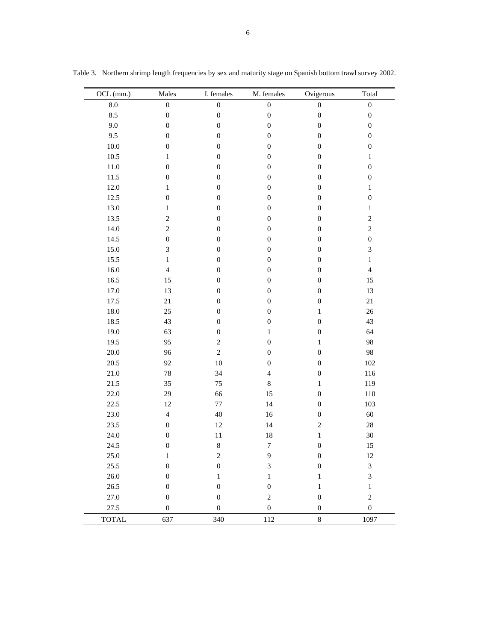| OCL (mm.)    | Males            | I. females       | M. females       | Ovigerous        | Total                       |
|--------------|------------------|------------------|------------------|------------------|-----------------------------|
| $\ \, 8.0$   | $\boldsymbol{0}$ | $\boldsymbol{0}$ | $\boldsymbol{0}$ | $\boldsymbol{0}$ | $\boldsymbol{0}$            |
| 8.5          | $\boldsymbol{0}$ | $\boldsymbol{0}$ | $\boldsymbol{0}$ | $\boldsymbol{0}$ | $\boldsymbol{0}$            |
| 9.0          | $\boldsymbol{0}$ | $\boldsymbol{0}$ | $\boldsymbol{0}$ | $\boldsymbol{0}$ | $\boldsymbol{0}$            |
| 9.5          | $\boldsymbol{0}$ | $\boldsymbol{0}$ | $\boldsymbol{0}$ | $\boldsymbol{0}$ | $\boldsymbol{0}$            |
| $10.0\,$     | $\boldsymbol{0}$ | $\boldsymbol{0}$ | $\boldsymbol{0}$ | $\boldsymbol{0}$ | $\boldsymbol{0}$            |
| 10.5         | $\mathbf{1}$     | $\boldsymbol{0}$ | $\boldsymbol{0}$ | $\boldsymbol{0}$ | $\mathbf{1}$                |
| $11.0\,$     | $\boldsymbol{0}$ | $\boldsymbol{0}$ | $\boldsymbol{0}$ | $\boldsymbol{0}$ | $\boldsymbol{0}$            |
| $11.5\,$     | $\boldsymbol{0}$ | $\boldsymbol{0}$ | $\boldsymbol{0}$ | $\boldsymbol{0}$ | $\boldsymbol{0}$            |
| $12.0\,$     | $\mathbf{1}$     | $\boldsymbol{0}$ | $\boldsymbol{0}$ | $\boldsymbol{0}$ | $\,1$                       |
| 12.5         | $\boldsymbol{0}$ | $\boldsymbol{0}$ | $\boldsymbol{0}$ | $\boldsymbol{0}$ | $\boldsymbol{0}$            |
| 13.0         | $\mathbf{1}$     | $\boldsymbol{0}$ | $\boldsymbol{0}$ | $\boldsymbol{0}$ | $\,1$                       |
| 13.5         | $\sqrt{2}$       | $\boldsymbol{0}$ | $\boldsymbol{0}$ | $\boldsymbol{0}$ | $\sqrt{2}$                  |
| $14.0\,$     | $\sqrt{2}$       | $\boldsymbol{0}$ | $\boldsymbol{0}$ | $\boldsymbol{0}$ | $\sqrt{2}$                  |
| 14.5         | $\boldsymbol{0}$ | $\boldsymbol{0}$ | $\boldsymbol{0}$ | $\boldsymbol{0}$ | $\boldsymbol{0}$            |
| 15.0         | 3                | $\boldsymbol{0}$ | $\boldsymbol{0}$ | $\boldsymbol{0}$ | $\overline{3}$              |
| 15.5         | $\mathbf{1}$     | $\boldsymbol{0}$ | $\boldsymbol{0}$ | $\boldsymbol{0}$ | $\,1$                       |
| 16.0         | $\overline{4}$   | $\boldsymbol{0}$ | $\boldsymbol{0}$ | $\boldsymbol{0}$ | $\overline{4}$              |
| 16.5         | 15               | $\boldsymbol{0}$ | $\boldsymbol{0}$ | $\boldsymbol{0}$ | 15                          |
| 17.0         | 13               | $\boldsymbol{0}$ | $\boldsymbol{0}$ | $\boldsymbol{0}$ | 13                          |
| 17.5         | $21\,$           | $\boldsymbol{0}$ | $\boldsymbol{0}$ | $\boldsymbol{0}$ | 21                          |
| $18.0\,$     | 25               | $\boldsymbol{0}$ | $\boldsymbol{0}$ | $\mathbf{1}$     | 26                          |
| 18.5         | 43               | $\boldsymbol{0}$ | $\boldsymbol{0}$ | $\boldsymbol{0}$ | 43                          |
| 19.0         | 63               | $\boldsymbol{0}$ | $\mathbf{1}$     | $\boldsymbol{0}$ | 64                          |
| 19.5         | 95               | $\overline{c}$   | $\boldsymbol{0}$ | $\mathbf{1}$     | 98                          |
| $20.0\,$     | 96               | $\overline{c}$   | $\boldsymbol{0}$ | $\boldsymbol{0}$ | 98                          |
| 20.5         | 92               | 10               | $\boldsymbol{0}$ | $\boldsymbol{0}$ | 102                         |
| $21.0\,$     | 78               | 34               | $\overline{4}$   | $\boldsymbol{0}$ | 116                         |
| $21.5\,$     | 35               | 75               | $8\,$            | $\mathbf{1}$     | 119                         |
| 22.0         | 29               | 66               | 15               | $\boldsymbol{0}$ | 110                         |
| 22.5         | 12               | $77\,$           | 14               | $\boldsymbol{0}$ | 103                         |
| $23.0\,$     | $\overline{4}$   | 40               | 16               | $\boldsymbol{0}$ | $60\,$                      |
| 23.5         | $\boldsymbol{0}$ | 12               | 14               | $\overline{c}$   | $28\,$                      |
| 24.0         | $\boldsymbol{0}$ | $11\,$           | 18               | $\mathbf{1}$     | 30                          |
| 24.5         | $\boldsymbol{0}$ | $\,$ 8 $\,$      | $\boldsymbol{7}$ | $\boldsymbol{0}$ | 15                          |
| 25.0         | $\mathbf{1}$     | $\overline{c}$   | $\mathbf{9}$     | $\boldsymbol{0}$ | 12                          |
| 25.5         | $\boldsymbol{0}$ | $\boldsymbol{0}$ | 3                | $\boldsymbol{0}$ | $\ensuremath{\mathfrak{Z}}$ |
| 26.0         | $\boldsymbol{0}$ | $\mathbf{1}$     | $\mathbf{1}$     | $\mathbf{1}$     | $\overline{3}$              |
| 26.5         | $\boldsymbol{0}$ | $\boldsymbol{0}$ | $\boldsymbol{0}$ | $\mathbf{1}$     | $\,1$                       |
| 27.0         | $\boldsymbol{0}$ | $\boldsymbol{0}$ | $\overline{c}$   | $\boldsymbol{0}$ | $\sqrt{2}$                  |
| 27.5         | $\boldsymbol{0}$ | $\boldsymbol{0}$ | $\boldsymbol{0}$ | $\boldsymbol{0}$ | $\boldsymbol{0}$            |
| <b>TOTAL</b> | 637              | 340              | 112              | $\,8\,$          | 1097                        |

Table 3. Northern shrimp length frequencies by sex and maturity stage on Spanish bottom trawl survey 2002.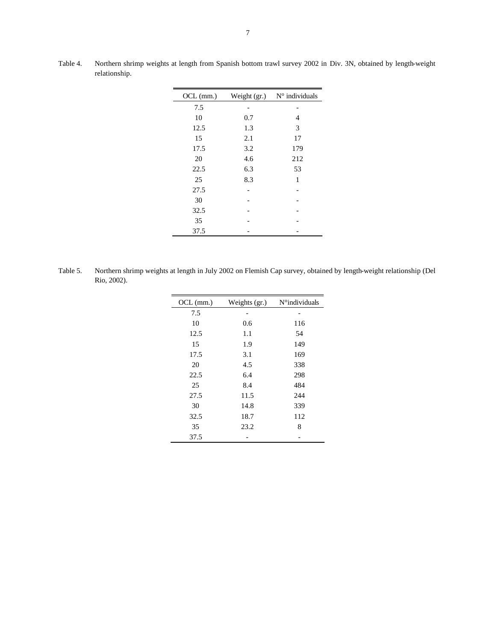| $OCL$ (mm.) | Weight (gr.) | $N^{\circ}$ individuals |
|-------------|--------------|-------------------------|
| 7.5         |              |                         |
| 10          | 0.7          | 4                       |
| 12.5        | 1.3          | 3                       |
| 15          | 2.1          | 17                      |
| 17.5        | 3.2          | 179                     |
| 20          | 4.6          | 212                     |
| 22.5        | 6.3          | 53                      |
| 25          | 8.3          | 1                       |
| 27.5        |              |                         |
| 30          |              |                         |
| 32.5        |              |                         |
| 35          |              |                         |
| 37.5        |              |                         |
|             |              |                         |

Table 4. Northern shrimp weights at length from Spanish bottom trawl survey 2002 in Div. 3N, obtained by length-weight relationship.

Table 5. Northern shrimp weights at length in July 2002 on Flemish Cap survey, obtained by length-weight relationship (Del Rio, 2002).

| $OCL$ (mm.) | Weights (gr.) | N°individuals |
|-------------|---------------|---------------|
| 7.5         |               |               |
| 10          | 0.6           | 116           |
| 12.5        | 1.1           | 54            |
| 15          | 1.9           | 149           |
| 17.5        | 3.1           | 169           |
| 20          | 4.5           | 338           |
| 22.5        | 6.4           | 298           |
| 25          | 8.4           | 484           |
| 27.5        | 11.5          | 244           |
| 30          | 14.8          | 339           |
| 32.5        | 18.7          | 112           |
| 35          | 23.2          | 8             |
| 37.5        |               |               |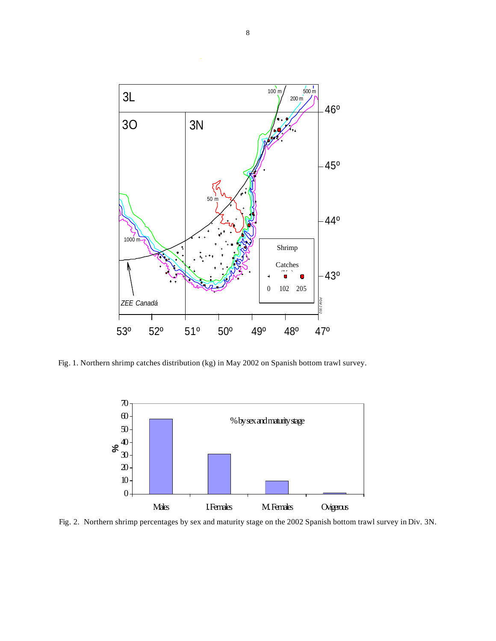

Fig. 1. Northern shrimp catches distribution (kg) in May 2002 on Spanish bottom trawl survey.



Fig. 2. Northern shrimp percentages by sex and maturity stage on the 2002 Spanish bottom trawl survey in Div. 3N.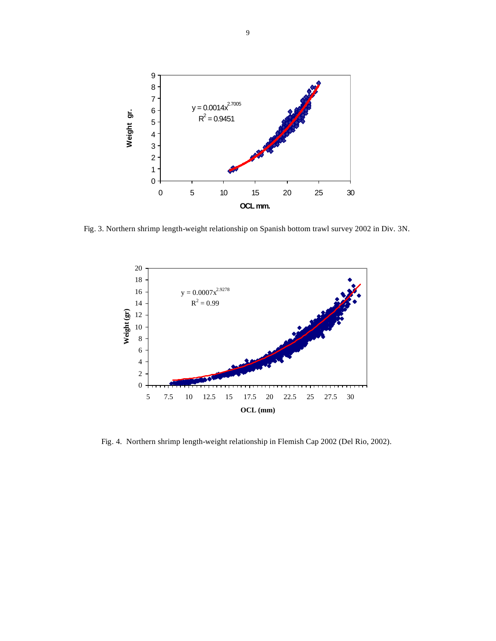

Fig. 3. Northern shrimp length-weight relationship on Spanish bottom trawl survey 2002 in Div. 3N.



Fig. 4. Northern shrimp length-weight relationship in Flemish Cap 2002 (Del Rio, 2002).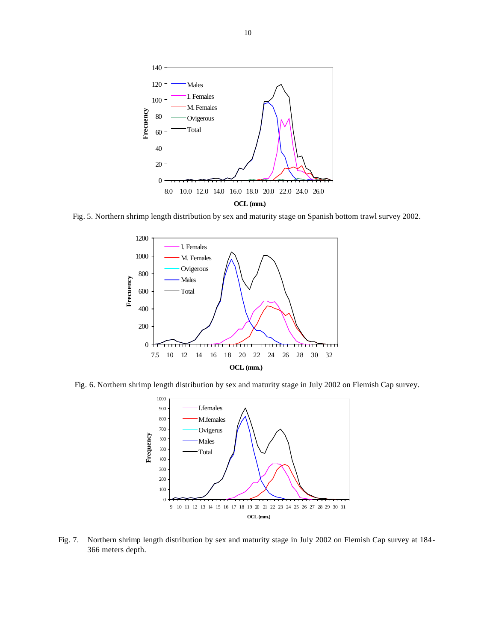

Fig. 5. Northern shrimp length distribution by sex and maturity stage on Spanish bottom trawl survey 2002.



Fig. 6. Northern shrimp length distribution by sex and maturity stage in July 2002 on Flemish Cap survey.



Fig. 7. Northern shrimp length distribution by sex and maturity stage in July 2002 on Flemish Cap survey at 184- 366 meters depth.